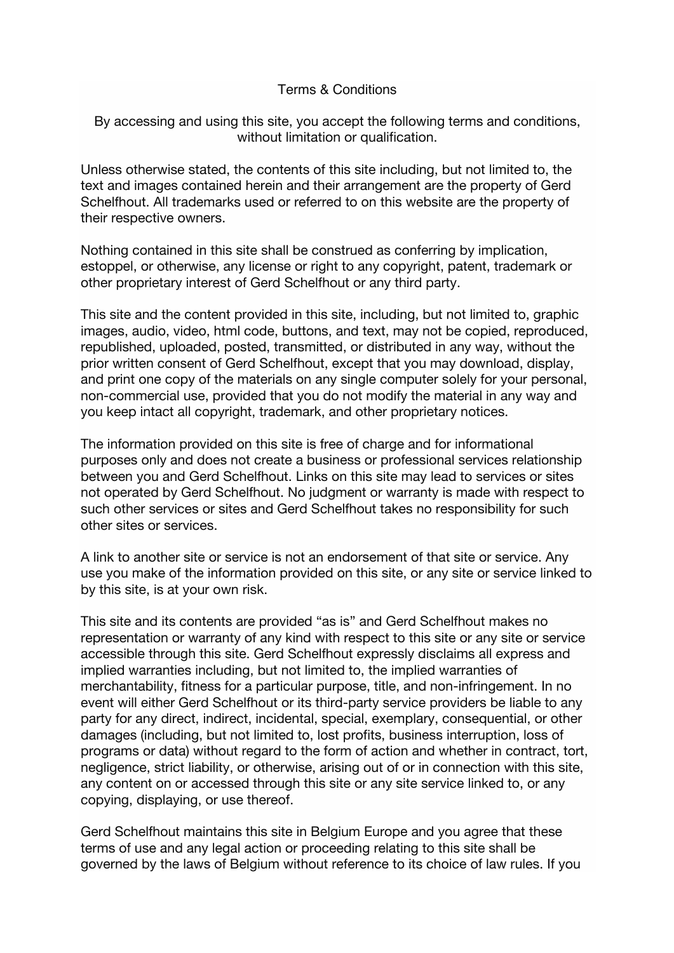## Terms & Conditions

By accessing and using this site, you accept the following terms and conditions, without limitation or qualification.

Unless otherwise stated, the contents of this site including, but not limited to, the text and images contained herein and their arrangement are the property of Gerd Schelfhout. All trademarks used or referred to on this website are the property of their respective owners.

Nothing contained in this site shall be construed as conferring by implication, estoppel, or otherwise, any license or right to any copyright, patent, trademark or other proprietary interest of Gerd Schelfhout or any third party.

This site and the content provided in this site, including, but not limited to, graphic images, audio, video, html code, buttons, and text, may not be copied, reproduced, republished, uploaded, posted, transmitted, or distributed in any way, without the prior written consent of Gerd Schelfhout, except that you may download, display, and print one copy of the materials on any single computer solely for your personal, non-commercial use, provided that you do not modify the material in any way and you keep intact all copyright, trademark, and other proprietary notices.

The information provided on this site is free of charge and for informational purposes only and does not create a business or professional services relationship between you and Gerd Schelfhout. Links on this site may lead to services or sites not operated by Gerd Schelfhout. No judgment or warranty is made with respect to such other services or sites and Gerd Schelfhout takes no responsibility for such other sites or services.

A link to another site or service is not an endorsement of that site or service. Any use you make of the information provided on this site, or any site or service linked to by this site, is at your own risk.

This site and its contents are provided "as is" and Gerd Schelfhout makes no representation or warranty of any kind with respect to this site or any site or service accessible through this site. Gerd Schelfhout expressly disclaims all express and implied warranties including, but not limited to, the implied warranties of merchantability, fitness for a particular purpose, title, and non-infringement. In no event will either Gerd Schelfhout or its third-party service providers be liable to any party for any direct, indirect, incidental, special, exemplary, consequential, or other damages (including, but not limited to, lost profits, business interruption, loss of programs or data) without regard to the form of action and whether in contract, tort, negligence, strict liability, or otherwise, arising out of or in connection with this site, any content on or accessed through this site or any site service linked to, or any copying, displaying, or use thereof.

Gerd Schelfhout maintains this site in Belgium Europe and you agree that these terms of use and any legal action or proceeding relating to this site shall be governed by the laws of Belgium without reference to its choice of law rules. If you